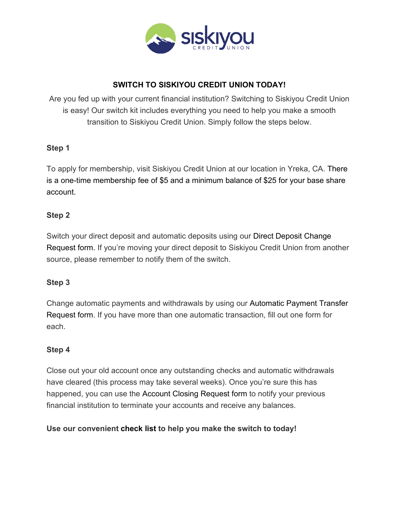

## **SWITCH TO SISKIYOU CREDIT UNION TODAY!**

Are you fed up with your current financial institution? Switching to Siskiyou Credit Union is easy! Our switch kit includes everything you need to help you make a smooth transition to Siskiyou Credit Union. Simply follow the steps below.

#### **Step 1**

To apply for membership, visit Siskiyou Credit Union at our location in Yreka, CA. There is a one-time membership fee of \$5 and a minimum balance of \$25 for your base share account.

## **Step 2**

Switch your direct deposit and automatic deposits using our Direct Deposit Change Request form. If you're moving your direct deposit to Siskiyou Credit Union from another source, please remember to notify them of the switch.

#### **Step 3**

Change automatic payments and withdrawals by using our Automatic Payment Transfer Request form. If you have more than one automatic transaction, fill out one form for each.

#### **Step 4**

Close out your old account once any outstanding checks and automatic withdrawals have cleared (this process may take several weeks). Once you're sure this has happened, you can use the Account Closing Request form to notify your previous financial institution to terminate your accounts and receive any balances.

## **Use our convenient check list to help you make the switch to today!**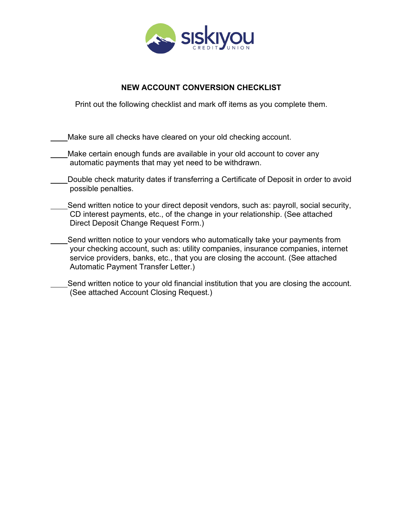

## **NEW ACCOUNT CONVERSION CHECKLIST**

Print out the following checklist and mark off items as you complete them.

Make sure all checks have cleared on your old checking account.

- Make certain enough funds are available in your old account to cover any automatic payments that may yet need to be withdrawn.
- Double check maturity dates if transferring a Certificate of Deposit in order to avoid possible penalties.
- Send written notice to your direct deposit vendors, such as: payroll, social security, CD interest payments, etc., of the change in your relationship. (See attached Direct Deposit Change Request Form.)
	- Send written notice to your vendors who automatically take your payments from your checking account, such as: utility companies, insurance companies, internet service providers, banks, etc., that you are closing the account. (See attached Automatic Payment Transfer Letter.)
- Send written notice to your old financial institution that you are closing the account. (See attached Account Closing Request.)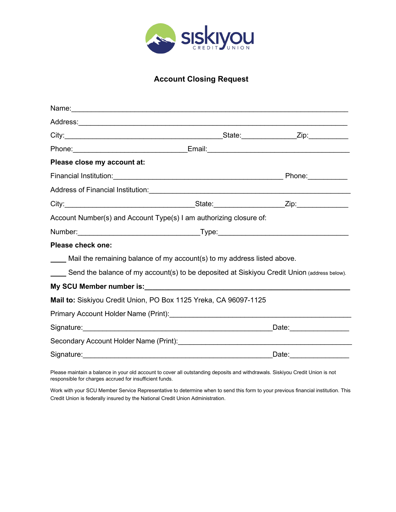

## **Account Closing Request**

| Please close my account at:                                                                 |                         |                       |
|---------------------------------------------------------------------------------------------|-------------------------|-----------------------|
|                                                                                             |                         | Phone:__________      |
|                                                                                             |                         |                       |
|                                                                                             |                         |                       |
| Account Number(s) and Account Type(s) I am authorizing closure of:                          |                         |                       |
|                                                                                             |                         |                       |
| <b>Please check one:</b>                                                                    |                         |                       |
| Mail the remaining balance of my account(s) to my address listed above.                     |                         |                       |
| Send the balance of my account(s) to be deposited at Siskiyou Credit Union (address below). |                         |                       |
|                                                                                             |                         |                       |
| Mail to: Siskiyou Credit Union, PO Box 1125 Yreka, CA 96097-1125                            |                         |                       |
|                                                                                             |                         |                       |
|                                                                                             | Date: _________________ |                       |
|                                                                                             |                         |                       |
|                                                                                             |                         | Date: _______________ |

Please maintain a balance in your old account to cover all outstanding deposits and withdrawals. Siskiyou Credit Union is not responsible for charges accrued for insufficient funds.

Work with your SCU Member Service Representative to determine when to send this form to your previous financial institution. This Credit Union is federally insured by the National Credit Union Administration.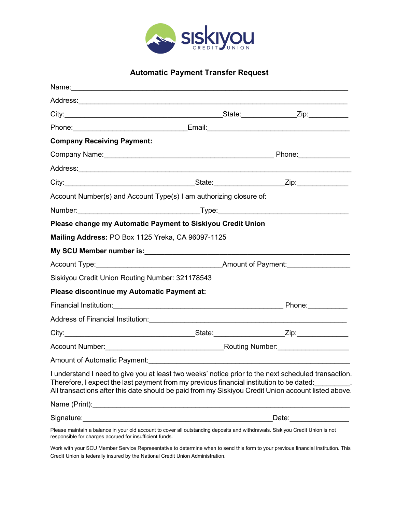

# **Automatic Payment Transfer Request**

|                                                   | Address: <u>Address:</u> Address: Address: Address: Address: Address: Address: Address: Address: Address: Address: Address: Address: Address: Address: Address: Address: Address: Address: Address: Address: Address: Address: Addr                                                                    |  |  |
|---------------------------------------------------|--------------------------------------------------------------------------------------------------------------------------------------------------------------------------------------------------------------------------------------------------------------------------------------------------------|--|--|
|                                                   |                                                                                                                                                                                                                                                                                                        |  |  |
|                                                   |                                                                                                                                                                                                                                                                                                        |  |  |
| <b>Company Receiving Payment:</b>                 |                                                                                                                                                                                                                                                                                                        |  |  |
|                                                   |                                                                                                                                                                                                                                                                                                        |  |  |
|                                                   |                                                                                                                                                                                                                                                                                                        |  |  |
|                                                   |                                                                                                                                                                                                                                                                                                        |  |  |
|                                                   | Account Number(s) and Account Type(s) I am authorizing closure of:                                                                                                                                                                                                                                     |  |  |
|                                                   |                                                                                                                                                                                                                                                                                                        |  |  |
|                                                   | Please change my Automatic Payment to Siskiyou Credit Union                                                                                                                                                                                                                                            |  |  |
| Mailing Address: PO Box 1125 Yreka, CA 96097-1125 |                                                                                                                                                                                                                                                                                                        |  |  |
|                                                   |                                                                                                                                                                                                                                                                                                        |  |  |
|                                                   |                                                                                                                                                                                                                                                                                                        |  |  |
| Siskiyou Credit Union Routing Number: 321178543   |                                                                                                                                                                                                                                                                                                        |  |  |
| Please discontinue my Automatic Payment at:       |                                                                                                                                                                                                                                                                                                        |  |  |
|                                                   |                                                                                                                                                                                                                                                                                                        |  |  |
|                                                   |                                                                                                                                                                                                                                                                                                        |  |  |
|                                                   |                                                                                                                                                                                                                                                                                                        |  |  |
|                                                   |                                                                                                                                                                                                                                                                                                        |  |  |
|                                                   |                                                                                                                                                                                                                                                                                                        |  |  |
|                                                   | I understand I need to give you at least two weeks' notice prior to the next scheduled transaction.<br>Therefore, I expect the last payment from my previous financial institution to be dated:<br>All transactions after this date should be paid from my Siskiyou Credit Union account listed above. |  |  |
|                                                   |                                                                                                                                                                                                                                                                                                        |  |  |
|                                                   | Date:________________                                                                                                                                                                                                                                                                                  |  |  |
|                                                   | Please maintain a balance in your old account to cover all outstanding deposits and withdrawals. Siskiyou Credit Union is not                                                                                                                                                                          |  |  |

responsible for charges accrued for insufficient funds.

Work with your SCU Member Service Representative to determine when to send this form to your previous financial institution. This Credit Union is federally insured by the National Credit Union Administration.